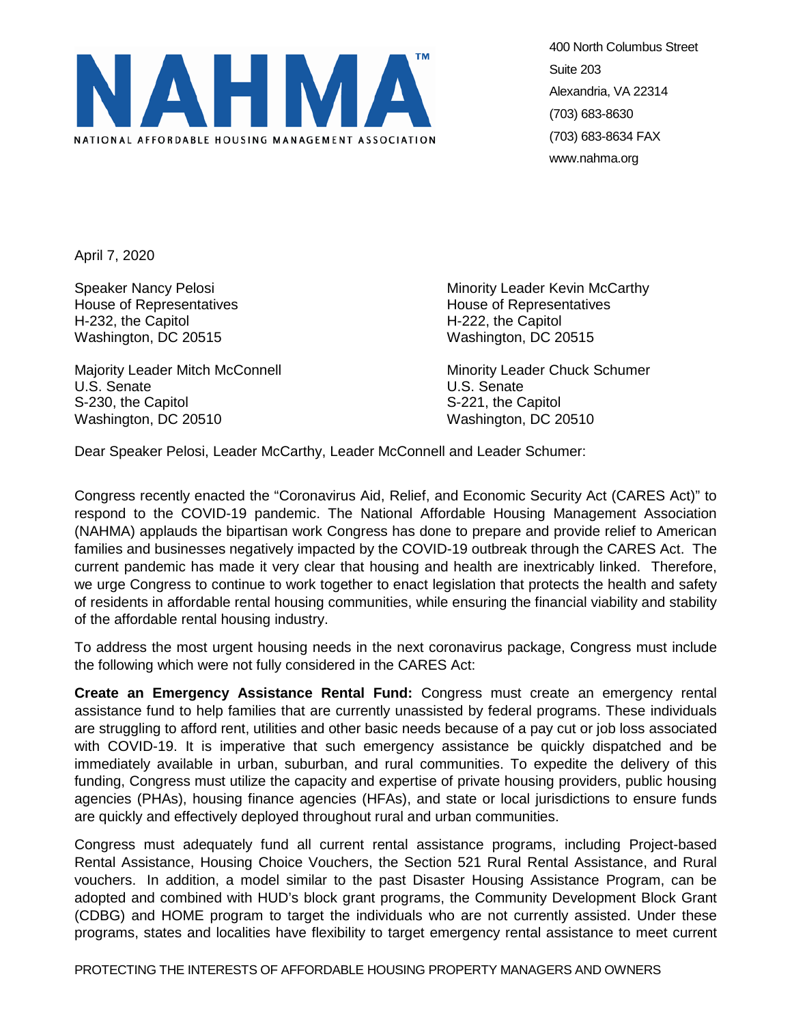

400 North Columbus Street Suite 203 Alexandria, VA 22314 (703) 683-8630 (703) 683-8634 FAX www.nahma.org

April 7, 2020

House of Representatives **House of Representatives** H-232, the Capitol H-222, the Capitol Washington, DC 20515 Washington, DC 20515

Majority Leader Mitch McConnell Minority Leader Chuck Schumer U.S. Senate U.S. Senate S-230, the Capitol S-221, the Capitol S-221, the Capitol Washington, DC 20510 Washington, DC 20510

Speaker Nancy Pelosi **Minority Leader Kevin McCarthy** Minority Leader Kevin McCarthy

Dear Speaker Pelosi, Leader McCarthy, Leader McConnell and Leader Schumer:

Congress recently enacted the "Coronavirus Aid, Relief, and Economic Security Act (CARES Act)" to respond to the COVID-19 pandemic. The National Affordable Housing Management Association (NAHMA) applauds the bipartisan work Congress has done to prepare and provide relief to American families and businesses negatively impacted by the COVID-19 outbreak through the CARES Act. The current pandemic has made it very clear that housing and health are inextricably linked. Therefore, we urge Congress to continue to work together to enact legislation that protects the health and safety of residents in affordable rental housing communities, while ensuring the financial viability and stability of the affordable rental housing industry.

To address the most urgent housing needs in the next coronavirus package, Congress must include the following which were not fully considered in the CARES Act:

**Create an Emergency Assistance Rental Fund:** Congress must create an emergency rental assistance fund to help families that are currently unassisted by federal programs. These individuals are struggling to afford rent, utilities and other basic needs because of a pay cut or job loss associated with COVID-19. It is imperative that such emergency assistance be quickly dispatched and be immediately available in urban, suburban, and rural communities. To expedite the delivery of this funding, Congress must utilize the capacity and expertise of private housing providers, public housing agencies (PHAs), housing finance agencies (HFAs), and state or local jurisdictions to ensure funds are quickly and effectively deployed throughout rural and urban communities.

Congress must adequately fund all current rental assistance programs, including Project-based Rental Assistance, Housing Choice Vouchers, the Section 521 Rural Rental Assistance, and Rural vouchers. In addition, a model similar to the past Disaster Housing Assistance Program, can be adopted and combined with HUD's block grant programs, the Community Development Block Grant (CDBG) and HOME program to target the individuals who are not currently assisted. Under these programs, states and localities have flexibility to target emergency rental assistance to meet current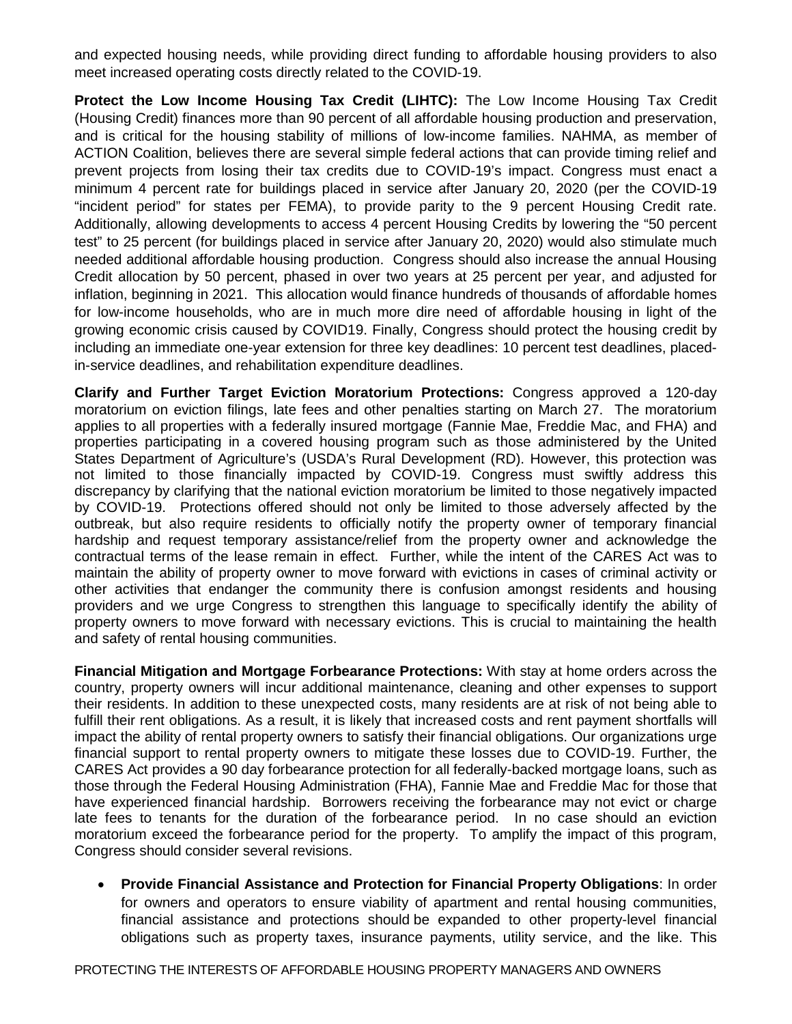and expected housing needs, while providing direct funding to affordable housing providers to also meet increased operating costs directly related to the COVID-19.

**Protect the Low Income Housing Tax Credit (LIHTC):** The Low Income Housing Tax Credit (Housing Credit) finances more than 90 percent of all affordable housing production and preservation, and is critical for the housing stability of millions of low-income families. NAHMA, as member of ACTION Coalition, believes there are several simple federal actions that can provide timing relief and prevent projects from losing their tax credits due to COVID-19's impact. Congress must enact a minimum 4 percent rate for buildings placed in service after January 20, 2020 (per the COVID-19 "incident period" for states per FEMA), to provide parity to the 9 percent Housing Credit rate. Additionally, allowing developments to access 4 percent Housing Credits by lowering the "50 percent test" to 25 percent (for buildings placed in service after January 20, 2020) would also stimulate much needed additional affordable housing production. Congress should also increase the annual Housing Credit allocation by 50 percent, phased in over two years at 25 percent per year, and adjusted for inflation, beginning in 2021. This allocation would finance hundreds of thousands of affordable homes for low-income households, who are in much more dire need of affordable housing in light of the growing economic crisis caused by COVID19. Finally, Congress should protect the housing credit by including an immediate one-year extension for three key deadlines: 10 percent test deadlines, placedin-service deadlines, and rehabilitation expenditure deadlines.

**Clarify and Further Target Eviction Moratorium Protections:** Congress approved a 120-day moratorium on eviction filings, late fees and other penalties starting on March 27. The moratorium applies to all properties with a federally insured mortgage (Fannie Mae, Freddie Mac, and FHA) and properties participating in a covered housing program such as those administered by the United States Department of Agriculture's (USDA's Rural Development (RD). However, this protection was not limited to those financially impacted by COVID-19. Congress must swiftly address this discrepancy by clarifying that the national eviction moratorium be limited to those negatively impacted by COVID-19. Protections offered should not only be limited to those adversely affected by the outbreak, but also require residents to officially notify the property owner of temporary financial hardship and request temporary assistance/relief from the property owner and acknowledge the contractual terms of the lease remain in effect.Further, while the intent of the CARES Act was to maintain the ability of property owner to move forward with evictions in cases of criminal activity or other activities that endanger the community there is confusion amongst residents and housing providers and we urge Congress to strengthen this language to specifically identify the ability of property owners to move forward with necessary evictions. This is crucial to maintaining the health and safety of rental housing communities.

**Financial Mitigation and Mortgage Forbearance Protections:** With stay at home orders across the country, property owners will incur additional maintenance, cleaning and other expenses to support their residents. In addition to these unexpected costs, many residents are at risk of not being able to fulfill their rent obligations. As a result, it is likely that increased costs and rent payment shortfalls will impact the ability of rental property owners to satisfy their financial obligations. Our organizations urge financial support to rental property owners to mitigate these losses due to COVID-19. Further, the CARES Act provides a 90 day forbearance protection for all federally-backed mortgage loans, such as those through the Federal Housing Administration (FHA), Fannie Mae and Freddie Mac for those that have experienced financial hardship. Borrowers receiving the forbearance may not evict or charge late fees to tenants for the duration of the forbearance period. In no case should an eviction moratorium exceed the forbearance period for the property. To amplify the impact of this program, Congress should consider several revisions.

• **Provide Financial Assistance and Protection for Financial Property Obligations**: In order for owners and operators to ensure viability of apartment and rental housing communities, financial assistance and protections should be expanded to other property-level financial obligations such as property taxes, insurance payments, utility service, and the like. This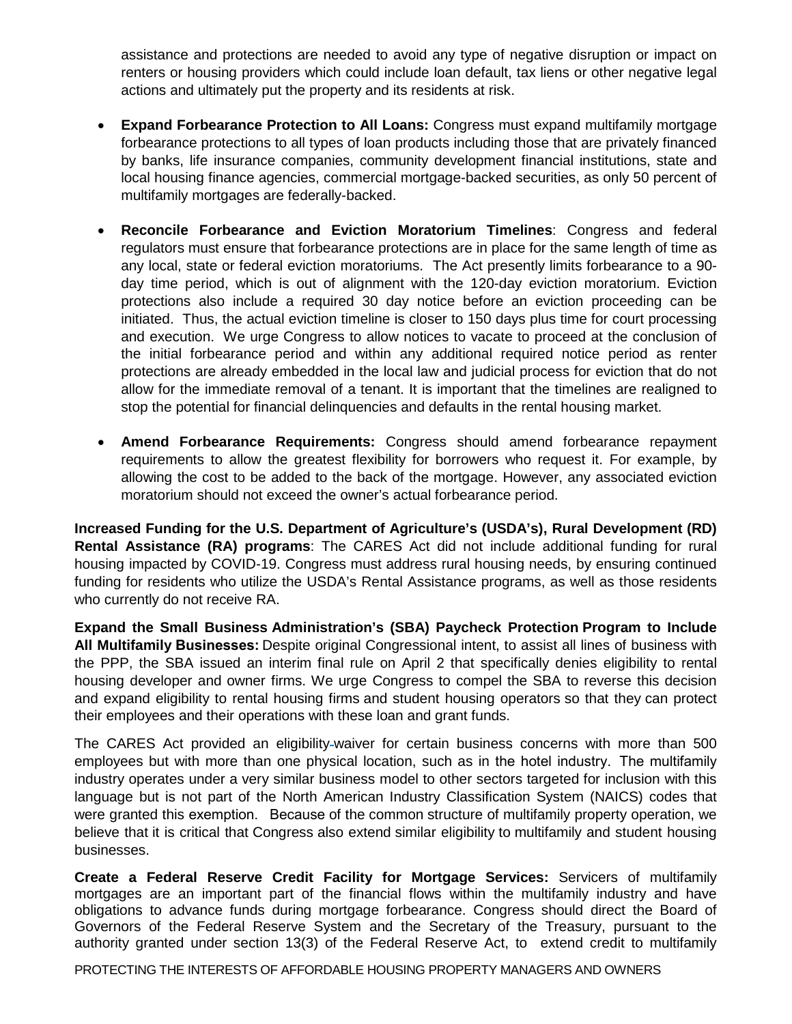assistance and protections are needed to avoid any type of negative disruption or impact on renters or housing providers which could include loan default, tax liens or other negative legal actions and ultimately put the property and its residents at risk.

- **Expand Forbearance Protection to All Loans:** Congress must expand multifamily mortgage forbearance protections to all types of loan products including those that are privately financed by banks, life insurance companies, community development financial institutions, state and local housing finance agencies, commercial mortgage-backed securities, as only 50 percent of multifamily mortgages are federally-backed.
- **Reconcile Forbearance and Eviction Moratorium Timelines**: Congress and federal regulators must ensure that forbearance protections are in place for the same length of time as any local, state or federal eviction moratoriums. The Act presently limits forbearance to a 90 day time period, which is out of alignment with the 120-day eviction moratorium. Eviction protections also include a required 30 day notice before an eviction proceeding can be initiated. Thus, the actual eviction timeline is closer to 150 days plus time for court processing and execution. We urge Congress to allow notices to vacate to proceed at the conclusion of the initial forbearance period and within any additional required notice period as renter protections are already embedded in the local law and judicial process for eviction that do not allow for the immediate removal of a tenant. It is important that the timelines are realigned to stop the potential for financial delinquencies and defaults in the rental housing market.
- **Amend Forbearance Requirements:** Congress should amend forbearance repayment requirements to allow the greatest flexibility for borrowers who request it. For example, by allowing the cost to be added to the back of the mortgage. However, any associated eviction moratorium should not exceed the owner's actual forbearance period.

**Increased Funding for the U.S. Department of Agriculture's (USDA's), Rural Development (RD) Rental Assistance (RA) programs**: The CARES Act did not include additional funding for rural housing impacted by COVID-19. Congress must address rural housing needs, by ensuring continued funding for residents who utilize the USDA's Rental Assistance programs, as well as those residents who currently do not receive RA.

**Expand the Small Business Administration's (SBA) Paycheck Protection Program to Include All Multifamily Businesses:**Despite original Congressional intent, to assist all lines of business with the PPP, the SBA issued an interim final rule on April 2 that specifically denies eligibility to rental housing developer and owner firms. We urge Congress to compel the SBA to reverse this decision and expand eligibility to rental housing firms and student housing operators so that they can protect their employees and their operations with these loan and grant funds.

The CARES Act provided an eligibility waiver for certain business concerns with more than 500 employees but with more than one physical location, such as in the hotel industry.  The multifamily industry operates under a very similar business model to other sectors targeted for inclusion with this language but is not part of the North American Industry Classification System (NAICS) codes that were granted this exemption.   Because of the common structure of multifamily property operation, we believe that it is critical that Congress also extend similar eligibility to multifamily and student housing businesses.

**Create a Federal Reserve Credit Facility for Mortgage Services:** Servicers of multifamily mortgages are an important part of the financial flows within the multifamily industry and have obligations to advance funds during mortgage forbearance. Congress should direct the Board of Governors of the Federal Reserve System and the Secretary of the Treasury, pursuant to the authority granted under section 13(3) of the Federal Reserve Act, to extend credit to multifamily

PROTECTING THE INTERESTS OF AFFORDABLE HOUSING PROPERTY MANAGERS AND OWNERS